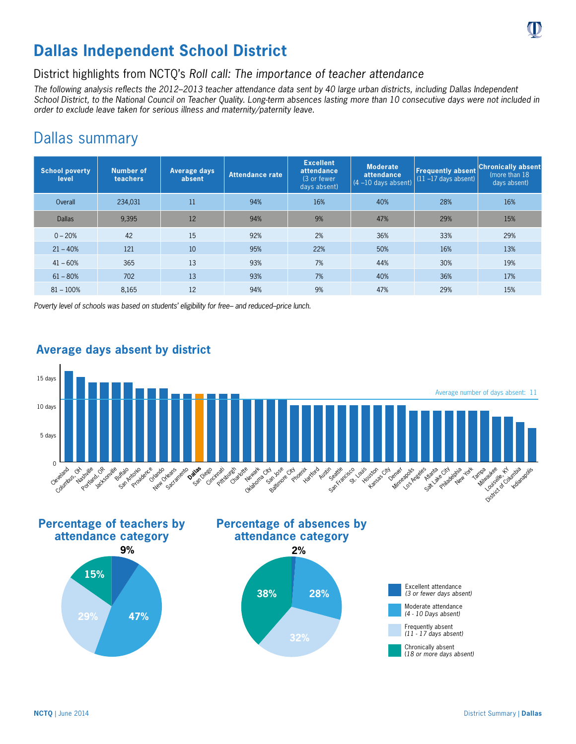

# **Dallas Independent School District**

## District highlights from NCTQ's *Roll call: The importance of teacher attendance*

*The following analysis reflects the 2012–2013 teacher attendance data sent by 40 large urban districts, including Dallas Independent School District, to the National Council on Teacher Quality. Long-term absences lasting more than 10 consecutive days were not included in order to exclude leave taken for serious illness and maternity/paternity leave.*

## Dallas summary

| <b>School poverty</b><br>level | Number of<br>teachers | Average days<br>absent | Attendance rate | <b>Excellent</b><br>attendance<br>$(3 \text{ or fewer})$<br>days absent) | <b>Moderate</b><br>attendance<br>$(4 - 10$ days absent) | <b>Frequently absent</b><br>$(11 - 17$ days absent) | <b>Chronically absent</b><br>(more than 18)<br>days absent) |
|--------------------------------|-----------------------|------------------------|-----------------|--------------------------------------------------------------------------|---------------------------------------------------------|-----------------------------------------------------|-------------------------------------------------------------|
| Overall                        | 234,031               | 11                     | 94%             | 16%                                                                      | 40%                                                     | 28%                                                 | 16%                                                         |
| <b>Dallas</b>                  | 9,395                 | 12                     | 94%             | 9%                                                                       | 47%                                                     | 29%                                                 | 15%                                                         |
| $0 - 20%$                      | 42                    | 15                     | 92%             | 2%                                                                       | 36%                                                     | 33%                                                 | 29%                                                         |
| $21 - 40%$                     | 121                   | 10                     | 95%             | 22%                                                                      | 50%                                                     | 16%                                                 | 13%                                                         |
| $41 - 60%$                     | 365                   | 13                     | 93%             | 7%                                                                       | 44%                                                     | 30%                                                 | 19%                                                         |
| $61 - 80%$                     | 702                   | 13                     | 93%             | 7%                                                                       | 40%                                                     | 36%                                                 | 17%                                                         |
| $81 - 100%$                    | 8,165                 | 12                     | 94%             | 9%                                                                       | 47%                                                     | 29%                                                 | 15%                                                         |

*Poverty level of schools was based on students' eligibility for free– and reduced–price lunch.*



### **Average days absent by district**









(*18 or more days absent)*